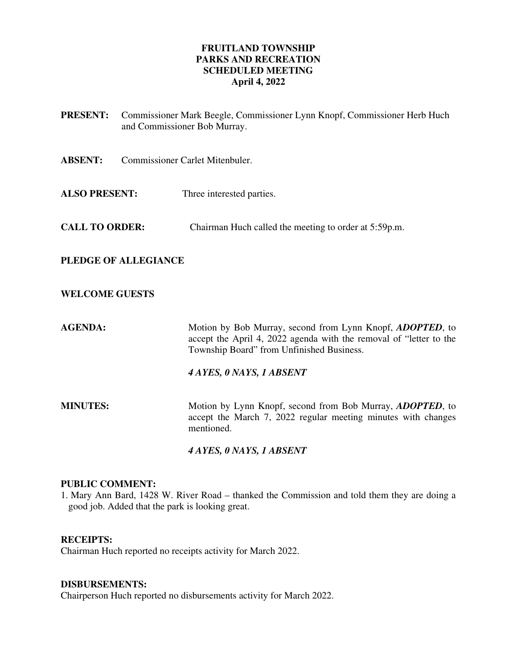# **FRUITLAND TOWNSHIP PARKS AND RECREATION SCHEDULED MEETING April 4, 2022**

- **PRESENT:** Commissioner Mark Beegle, Commissioner Lynn Knopf, Commissioner Herb Huch and Commissioner Bob Murray.
- **ABSENT:** Commissioner Carlet Mitenbuler.
- **ALSO PRESENT:** Three interested parties.
- **CALL TO ORDER:** Chairman Huch called the meeting to order at 5:59p.m.

# **PLEDGE OF ALLEGIANCE**

## **WELCOME GUESTS**

**AGENDA:** Motion by Bob Murray, second from Lynn Knopf, *ADOPTED*, to accept the April 4, 2022 agenda with the removal of "letter to the Township Board" from Unfinished Business.

### *4 AYES, 0 NAYS, 1 ABSENT*

**MINUTES:** Motion by Lynn Knopf, second from Bob Murray, *ADOPTED*, to accept the March 7, 2022 regular meeting minutes with changes mentioned.

### *4 AYES, 0 NAYS, 1 ABSENT*

## **PUBLIC COMMENT:**

1. Mary Ann Bard, 1428 W. River Road – thanked the Commission and told them they are doing a good job. Added that the park is looking great.

## **RECEIPTS:**

Chairman Huch reported no receipts activity for March 2022.

#### **DISBURSEMENTS:**

Chairperson Huch reported no disbursements activity for March 2022.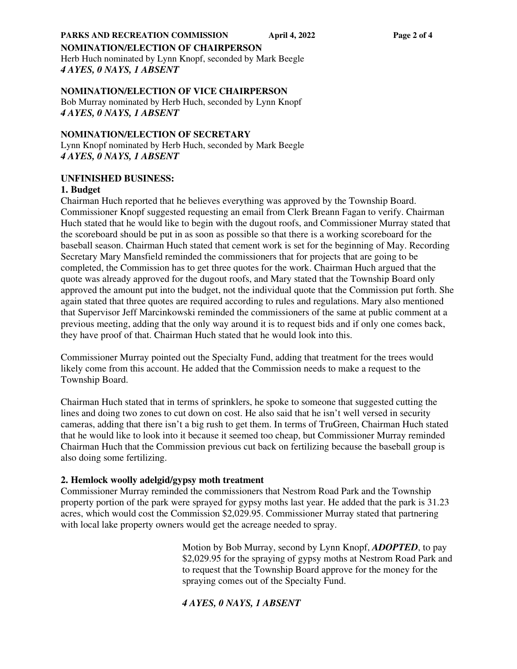#### **NOMINATION/ELECTION OF CHAIRPERSON**

Herb Huch nominated by Lynn Knopf, seconded by Mark Beegle *4 AYES, 0 NAYS, 1 ABSENT*

## **NOMINATION/ELECTION OF VICE CHAIRPERSON**

Bob Murray nominated by Herb Huch, seconded by Lynn Knopf *4 AYES, 0 NAYS, 1 ABSENT*

### **NOMINATION/ELECTION OF SECRETARY**

Lynn Knopf nominated by Herb Huch, seconded by Mark Beegle *4 AYES, 0 NAYS, 1 ABSENT*

## **UNFINISHED BUSINESS:**

### **1. Budget**

Chairman Huch reported that he believes everything was approved by the Township Board. Commissioner Knopf suggested requesting an email from Clerk Breann Fagan to verify. Chairman Huch stated that he would like to begin with the dugout roofs, and Commissioner Murray stated that the scoreboard should be put in as soon as possible so that there is a working scoreboard for the baseball season. Chairman Huch stated that cement work is set for the beginning of May. Recording Secretary Mary Mansfield reminded the commissioners that for projects that are going to be completed, the Commission has to get three quotes for the work. Chairman Huch argued that the quote was already approved for the dugout roofs, and Mary stated that the Township Board only approved the amount put into the budget, not the individual quote that the Commission put forth. She again stated that three quotes are required according to rules and regulations. Mary also mentioned that Supervisor Jeff Marcinkowski reminded the commissioners of the same at public comment at a previous meeting, adding that the only way around it is to request bids and if only one comes back, they have proof of that. Chairman Huch stated that he would look into this.

Commissioner Murray pointed out the Specialty Fund, adding that treatment for the trees would likely come from this account. He added that the Commission needs to make a request to the Township Board.

Chairman Huch stated that in terms of sprinklers, he spoke to someone that suggested cutting the lines and doing two zones to cut down on cost. He also said that he isn't well versed in security cameras, adding that there isn't a big rush to get them. In terms of TruGreen, Chairman Huch stated that he would like to look into it because it seemed too cheap, but Commissioner Murray reminded Chairman Huch that the Commission previous cut back on fertilizing because the baseball group is also doing some fertilizing.

### **2. Hemlock woolly adelgid/gypsy moth treatment**

Commissioner Murray reminded the commissioners that Nestrom Road Park and the Township property portion of the park were sprayed for gypsy moths last year. He added that the park is 31.23 acres, which would cost the Commission \$2,029.95. Commissioner Murray stated that partnering with local lake property owners would get the acreage needed to spray.

> Motion by Bob Murray, second by Lynn Knopf, *ADOPTED*, to pay \$2,029.95 for the spraying of gypsy moths at Nestrom Road Park and to request that the Township Board approve for the money for the spraying comes out of the Specialty Fund.

# *4 AYES, 0 NAYS, 1 ABSENT*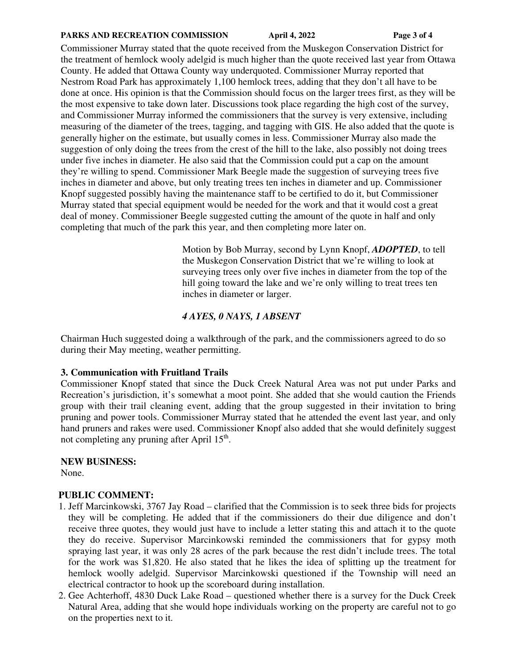#### **PARKS AND RECREATION COMMISSION April 4, 2022 Page 3 of 4**

Commissioner Murray stated that the quote received from the Muskegon Conservation District for the treatment of hemlock wooly adelgid is much higher than the quote received last year from Ottawa County. He added that Ottawa County way underquoted. Commissioner Murray reported that Nestrom Road Park has approximately 1,100 hemlock trees, adding that they don't all have to be done at once. His opinion is that the Commission should focus on the larger trees first, as they will be the most expensive to take down later. Discussions took place regarding the high cost of the survey, and Commissioner Murray informed the commissioners that the survey is very extensive, including measuring of the diameter of the trees, tagging, and tagging with GIS. He also added that the quote is generally higher on the estimate, but usually comes in less. Commissioner Murray also made the suggestion of only doing the trees from the crest of the hill to the lake, also possibly not doing trees under five inches in diameter. He also said that the Commission could put a cap on the amount they're willing to spend. Commissioner Mark Beegle made the suggestion of surveying trees five inches in diameter and above, but only treating trees ten inches in diameter and up. Commissioner Knopf suggested possibly having the maintenance staff to be certified to do it, but Commissioner Murray stated that special equipment would be needed for the work and that it would cost a great deal of money. Commissioner Beegle suggested cutting the amount of the quote in half and only completing that much of the park this year, and then completing more later on.

> Motion by Bob Murray, second by Lynn Knopf, *ADOPTED*, to tell the Muskegon Conservation District that we're willing to look at surveying trees only over five inches in diameter from the top of the hill going toward the lake and we're only willing to treat trees ten inches in diameter or larger.

# *4 AYES, 0 NAYS, 1 ABSENT*

Chairman Huch suggested doing a walkthrough of the park, and the commissioners agreed to do so during their May meeting, weather permitting.

### **3. Communication with Fruitland Trails**

Commissioner Knopf stated that since the Duck Creek Natural Area was not put under Parks and Recreation's jurisdiction, it's somewhat a moot point. She added that she would caution the Friends group with their trail cleaning event, adding that the group suggested in their invitation to bring pruning and power tools. Commissioner Murray stated that he attended the event last year, and only hand pruners and rakes were used. Commissioner Knopf also added that she would definitely suggest not completing any pruning after April 15<sup>th</sup>.

# **NEW BUSINESS:**

None.

# **PUBLIC COMMENT:**

- 1. Jeff Marcinkowski, 3767 Jay Road clarified that the Commission is to seek three bids for projects they will be completing. He added that if the commissioners do their due diligence and don't receive three quotes, they would just have to include a letter stating this and attach it to the quote they do receive. Supervisor Marcinkowski reminded the commissioners that for gypsy moth spraying last year, it was only 28 acres of the park because the rest didn't include trees. The total for the work was \$1,820. He also stated that he likes the idea of splitting up the treatment for hemlock woolly adelgid. Supervisor Marcinkowski questioned if the Township will need an electrical contractor to hook up the scoreboard during installation.
- 2. Gee Achterhoff, 4830 Duck Lake Road questioned whether there is a survey for the Duck Creek Natural Area, adding that she would hope individuals working on the property are careful not to go on the properties next to it.